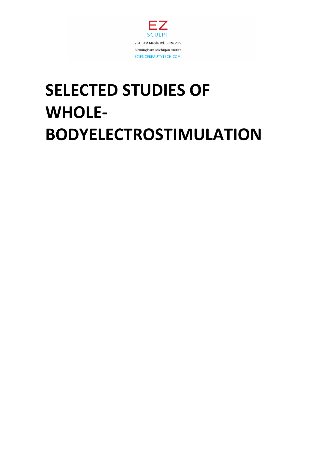

# **SELECTED STUDIES OF WHOLE-BODYELECTROSTIMULATION**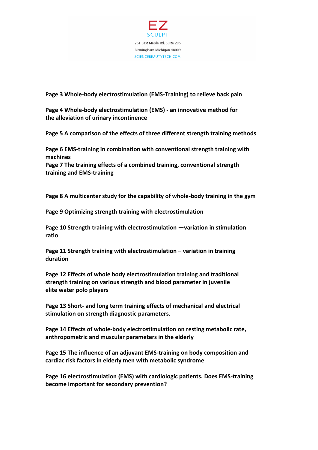

### **Page 3 Whole-body electrostimulation (EMS-Training) to relieve back pain**

**Page 4 Whole-body electrostimulation (EMS) - an innovative method for the alleviation of urinary incontinence**

**Page 5 A comparison of the effects of three different strength training methods**

**Page 6 EMS-training in combination with conventional strength training with machines**

**Page 7 The training effects of a combined training, conventional strength training and EMS-training**

**Page 8 A multicenter study for the capability of whole-body training in the gym**

**Page 9 Optimizing strength training with electrostimulation**

**Page 10 Strength training with electrostimulation —variation in stimulation ratio**

**Page 11 Strength training with electrostimulation – variation in training duration**

**Page 12 Effects of whole body electrostimulation training and traditional strength training on various strength and blood parameter in juvenile elite water polo players**

**Page 13 Short- and long term training effects of mechanical and electrical stimulation on strength diagnostic parameters.**

**Page 14 Effects of whole-body electrostimulation on resting metabolic rate, anthropometric and muscular parameters in the elderly**

**Page 15 The influence of an adjuvant EMS-training on body composition and cardiac risk factors in elderly men with metabolic syndrome**

**Page 16 electrostimulation (EMS) with cardiologic patients. Does EMS-training become important for secondary prevention?**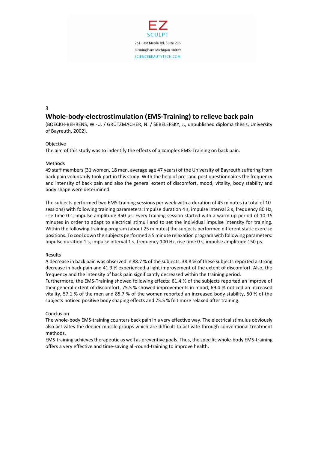

## 3 **Whole-body-electrostimulation (EMS-Training) to relieve back pain**

(BOECKH-BEHRENS, W.-U. / GRÜTZMACHER, N. / SEBELEFSKY, J., unpublished diploma thesis, University of Bayreuth, 2002).

#### **Objective**

The aim of this study was to indentify the effects of a complex EMS-Training on back pain.

#### Methods

49 staff members (31 women, 18 men, average age 47 years) of the University of Bayreuth suffering from back pain voluntarily took part in this study. With the help of pre- and post questionnaires the frequency and intensity of back pain and also the general extent of discomfort, mood, vitality, body stability and body shape were determined.

The subjects performed two EMS-training sessions per week with a duration of 45 minutes (a total of 10 sessions) with following training parameters: Impulse duration 4 s, impulse interval 2 s, frequency 80 Hz, rise time 0 s, impulse amplitude 350 μs. Every training session started with a warm up period of 10-15 minutes in order to adapt to electrical stimuli and to set the individual impulse intensity for training. Within the following training program (about 25 minutes) the subjects performed different static exercise positions. To cool down the subjects performed a 5 minute relaxation program with following parameters: Impulse duration 1 s, impulse interval 1 s, frequency 100 Hz, rise time 0 s, impulse amplitude 150 μs.

#### Results

A decrease in back pain was observed in 88.7 % of the subjects. 38.8 % of these subjects reported a strong decrease in back pain and 41.9 % experienced a light improvement of the extent of discomfort. Also, the frequency and the intensity of back pain significantly decreased within the training period.

Furthermore, the EMS-Training showed following effects: 61.4 % of the subjects reported an improve of their general extent of discomfort, 75.5 % showed improvements in mood, 69.4 % noticed an increased vitality, 57.1 % of the men and 85.7 % of the women reported an increased body stability, 50 % of the subjects noticed positive body shaping effects and 75.5 % felt more relaxed after training.

#### Conclusion

The whole-body EMS-training counters back pain in a very effective way. The electrical stimulus obviously also activates the deeper muscle groups which are difficult to activate through conventional treatment methods.

EMS-training achieves therapeutic as well as preventive goals. Thus, the specific whole-body EMS-training offers a very effective and time-saving all-round-training to improve health.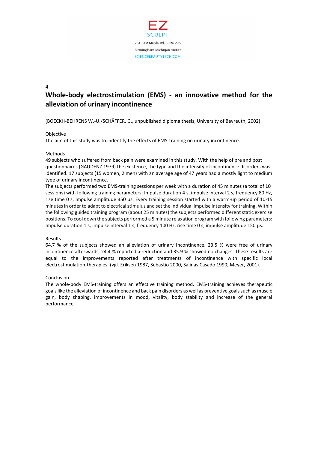

# **Whole-body electrostimulation (EMS) - an innovative method for the alleviation of urinary incontinence**

(BOECKH-BEHRENS W.-U./SCHÄFFER, G., unpublished diploma thesis, University of Bayreuth, 2002).

#### **Objective**

The aim of this study was to indentify the effects of EMS-training on urinary incontinence.

#### Methods

49 subjects who suffered from back pain were examined in this study. With the help of pre and post questionnaires (GAUDENZ 1979) the existence, the type and the intensity of incontinence disorders was identified. 17 subjects (15 women, 2 men) with an average age of 47 years had a mostly light to medium type of urinary incontinence.

The subjects performed two EMS-training sessions per week with a duration of 45 minutes (a total of 10 sessions) with following training parameters: Impulse duration 4 s, impulse interval 2 s, frequency 80 Hz, rise time 0 s, impulse amplitude 350 μs. Every training session started with a warm-up period of 10-15 minutes in order to adapt to electrical stimulus and set the individual impulse intensity for training. Within the following guided training program (about 25 minutes) the subjects performed different static exercise positions. To cool down the subjects performed a 5 minute relaxation program with following parameters: Impulse duration 1 s, impulse interval 1 s, frequency 100 Hz, rise time 0 s, impulse amplitude 150 μs.

#### Results

64.7 % of the subjects showed an alleviation of urinary incontinence. 23.5 % were free of urinary incontinence afterwards, 24.4 % reported a reduction and 35.9 % showed no changes. These results are equal to the improvements reported after treatments of incontinence with specific local electrostimulation-therapies. (vgl. Eriksen 1987, Sebastio 2000, Salinas Casado 1990, Meyer, 2001).

#### Conclusion

The whole-body EMS-training offers an effective training method. EMS-training achieves therapeutic goals like the alleviation of incontinence and back pain disorders as well as preventive goals such as muscle gain, body shaping, improvements in mood, vitality, body stability and increase of the general performance.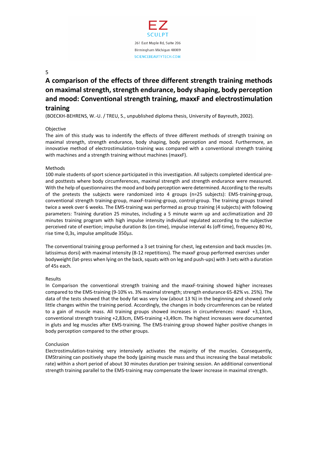

# **A comparison of the effects of three different strength training methods on maximal strength, strength endurance, body shaping, body perception and mood: Conventional strength training, maxxF and electrostimulation training**

(BOECKH-BEHRENS, W.-U. / TREU, S., unpublished diploma thesis, University of Bayreuth, 2002).

#### **Objective**

The aim of this study was to indentify the effects of three different methods of strength training on maximal strength, strength endurance, body shaping, body perception and mood. Furthermore, an innovative method of electrostimulation-training was compared with a conventional strength training with machines and a strength training without machines (maxxF).

#### Methods

100 male students of sport science participated in this investigation. All subjects completed identical preand posttests where body circumferences, maximal strength and strength endurance were measured. With the help of questionnaires the mood and body perception were determined. According to the results of the pretests the subjects were randomized into 4 groups (n=25 subjects): EMS-training-group, conventional strength training-group, maxxF-training-group, control-group. The training groups trained twice a week over 6 weeks. The EMS-training was performed as group training (4 subjects) with following parameters: Training duration 25 minutes, including a 5 minute warm up and acclimatization and 20 minutes training program with high impulse intensity individual regulated according to the subjective perceived rate of exertion; impulse duration 8s (on-time), impulse interval 4s (off-time), frequency 80 Hz, rise time 0,3s, impulse amplitude 350μs.

The conventional training group performed a 3 set training for chest, leg extension and back muscles (m. latissimus dorsi) with maximal intensity (8-12 repetitions). The maxxF group performed exercises under bodyweight (lat-press when lying on the back, squats with on leg and push-ups) with 3 sets with a duration of 45s each.

#### Results

In Comparison the conventional strength training and the maxxF-training showed higher increases compared to the EMS-training (9-10% vs. 3% maximal strength; strength endurance 65-82% vs. 25%). The data of the tests showed that the body fat was very low (about 13 %) in the beginning and showed only little changes within the training period. Accordingly, the changes in body circumferences can be related to a gain of muscle mass. All training groups showed increases in circumferences: maxxF +3,13cm, conventional strength training +2,83cm, EMS-training +3,49cm. The highest increases were documented in gluts and leg muscles after EMS-training. The EMS-training group showed higher positive changes in body perception compared to the other groups.

#### Conclusion

Electrostimulation-training very intensively activates the majority of the muscles. Consequently, EMStraining can positively shape the body (gaining muscle mass and thus increasing the basal metabolic rate) within a short period of about 30 minutes duration per training session. An additional conventional strength training parallel to the EMS-training may compensate the lower increase in maximal strength.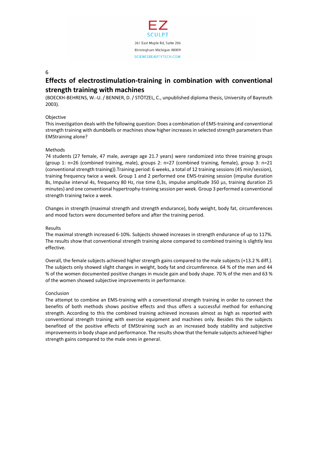

## **Effects of electrostimulation-training in combination with conventional strength training with machines**

(BOECKH-BEHRENS, W.-U. / BENNER, D. / STÖTZEL, C., unpublished diploma thesis, University of Bayreuth 2003).

#### Objective

This investigation deals with the following question: Does a combination of EMS-training and conventional strength training with dumbbells or machines show higher increases in selected strength parameters than EMStraining alone?

#### **Methods**

74 students (27 female, 47 male, average age 21.7 years) were randomized into three training groups (group 1: n=26 (combined training, male), groups 2: n=27 (combined training, female), group 3: n=21 (conventional strength training)).Training period: 6 weeks, a total of 12 training sessions (45 min/session), training frequency twice a week. Group 1 and 2 performed one EMS-training session (impulse duration 8s, Impulse interval 4s, frequency 80 Hz, rise time 0,3s, impulse amplitude 350 μs, training duration 25 minutes) and one conventional hypertrophy-training session per week. Group 3 performed a conventional strength training twice a week.

Changes in strength (maximal strength and strength endurance), body weight, body fat, circumferences and mood factors were documented before and after the training period.

#### Results

The maximal strength increased 6-10%. Subjects showed increases in strength endurance of up to 117%. The results show that conventional strength training alone compared to combined training is slightly less effective.

Overall, the female subjects achieved higher strength gains compared to the male subjects (+13.2 % diff.). The subjects only showed slight changes in weight, body fat and circumference. 64 % of the men and 44 % of the women documented positive changes in muscle gain and body shape. 70 % of the men and 63 % of the women showed subjective improvements in performance.

#### Conclusion

The attempt to combine an EMS-training with a conventional strength training in order to connect the benefits of both methods shows positive effects and thus offers a successful method for enhancing strength. According to this the combined training achieved increases almost as high as reported with conventional strength training with exercise equipment and machines only. Besides this the subjects benefited of the positive effects of EMStraining such as an increased body stability and subjective improvements in body shape and performance. The results show that the female subjects achieved higher strength gains compared to the male ones in general.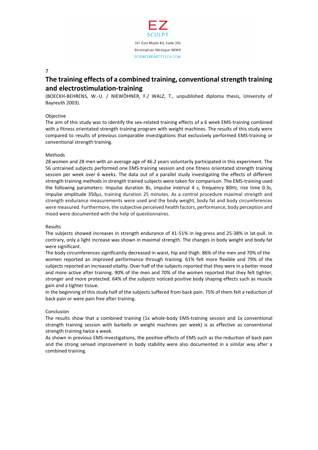

## **The training effects of a combined training, conventional strength training and electrostimulation-training**

(BOECKH-BEHRENS, W.-U. / NIEWÖHNER, F./ WALZ, T., unpublished diploma thesis, University of Bayreuth 2003).

#### Objective

The aim of this study was to identify the sex-related training effects of a 6 week EMS-training combined with a fitness orientated strength training program with weight machines. The results of this study were compared to results of previous comparable investigations that exclusively performed EMS-training or conventional strength training.

#### Methods

28 women and 28 men with an average age of 46.2 years voluntarily participated in this experiment. The 56 untrained subjects performed one EMS-training session and one fitness orientated strength training session per week over 6 weeks. The data out of a parallel study investigating the effects of different strength training methods in strength trained subjects were taken for comparison. The EMS-training used the following parameters: Impulse duration 8s, impulse interval 4 s, frequency 80Hz, rise time 0.3s, impulse amplitude 350μs, training duration 25 minutes. As a control procedure maximal strength and strength endurance measurements were used and the body weight, body fat and body circumferences were measured. Furthermore, the subjective perceived health factors, performance, body perception and mood were documented with the help of questionnaires.

#### Results

The subjects showed increases in strength endurance of 41-51% in leg-press and 25-38% in lat-pull. In contrary, only a light increase was shown in maximal strength. The changes in body weight and body fat were significant.

The body circumferences significantly decreased in waist, hip and thigh. 86% of the men and 70% of the women reported an improved performance through training. 61% felt more flexible and 79% of the subjects reported an increased vitality. Over half of the subjects reported that they were in a better mood and more active after training. 90% of the men and 70% of the women reported that they felt tighter, stronger and more protected. 64% of the subjects noticed positive body shaping effects such as muscle gain and a tighter tissue.

In the beginning of this study half of the subjects suffered from back pain. 75% of them felt a reduction of back pain or were pain free after training.

#### Conclusion

The results show that a combined training (1x whole-body EMS-training session and 1x conventional strength training session with barbells or weight machines per week) is as effective as conventional strength training twice a week.

As shown in previous EMS-investigations, the positive effects of EMS such as the reduction of back pain and the strong sensed improvement in body stability were also documented in a similar way after a combined training.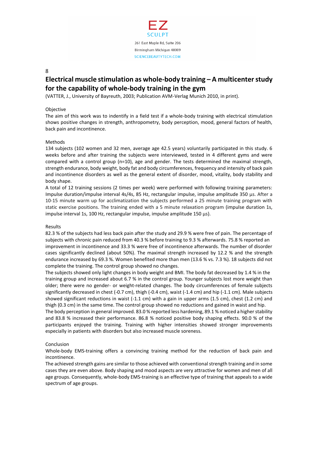

## **Electrical muscle stimulation as whole-body training – A multicenter study for the capability of whole-body training in the gym**

(VATTER, J., University of Bayreuth, 2003; Publication AVM-Verlag Munich 2010, in print).

#### **Objective**

The aim of this work was to indentify in a field test if a whole-body training with electrical stimulation shows positive changes in strength, anthropometry, body perception, mood, general factors of health, back pain and incontinence.

#### Methods

134 subjects (102 women and 32 men, average age 42.5 years) voluntarily participated in this study. 6 weeks before and after training the subjects were interviewed, tested in 4 different gyms and were compared with a control group (n=10), age and gender. The tests determined the maximal strength, strength endurance, body weight, body fat and body circumferences, frequency and intensity of back pain and incontinence disorders as well as the general extent of disorder, mood, vitality, body stability and body shape.

A total of 12 training sessions (2 times per week) were performed with following training parameters: Impulse duration/impulse interval 4s/4s, 85 Hz, rectangular impulse, impulse amplitude 350 μs. After a 10-15 minute warm up for acclimatization the subjects performed a 25 minute training program with static exercise positions. The training ended with a 5 minute relaxation program (impulse duration 1s, impulse interval 1s, 100 Hz, rectangular impulse, impulse amplitude 150 μs).

#### Results

82.3 % of the subjects had less back pain after the study and 29.9 % were free of pain. The percentage of subjects with chronic pain reduced from 40.3 % before training to 9.3 % afterwards. 75.8 % reported an improvement in incontinence and 33.3 % were free of incontinence afterwards. The number of disorder cases significantly declined (about 50%). The maximal strength increased by 12.2 % and the strength endurance increased by 69.3 %. Women benefited more than men (13.6 % vs. 7.3 %). 18 subjects did not complete the training. The control group showed no changes.

The subjects showed only light changes in body weight and BMI. The body fat decreased by 1.4 % in the training group and increased about 6.7 % in the control group. Younger subjects lost more weight than older; there were no gender- or weight-related changes. The body circumferences of female subjects significantly decreased in chest (-0.7 cm), thigh (-0.4 cm), waist (-1.4 cm) and hip (-1.1 cm). Male subjects showed significant reductions in waist (-1.1 cm) with a gain in upper arms (1.5 cm), chest (1.2 cm) and thigh (0.3 cm) in the same time. The control group showed no reductions and gained in waist and hip.

The body perception in general improved. 83.0 % reported less hardening, 89.1 % noticed a higher stability and 83.8 % increased their performance. 86.8 % noticed positive body shaping effects. 90.0 % of the participants enjoyed the training. Training with higher intensities showed stronger improvements especially in patients with disorders but also increased muscle soreness.

#### Conclusion

Whole-body EMS-training offers a convincing training method for the reduction of back pain and incontinence.

The achieved strength gains are similar to those achieved with conventional strength training and in some cases they are even above. Body shaping and mood aspects are very attractive for women and men of all age groups. Consequently, whole-body EMS-training is an effective type of training that appeals to a wide spectrum of age groups.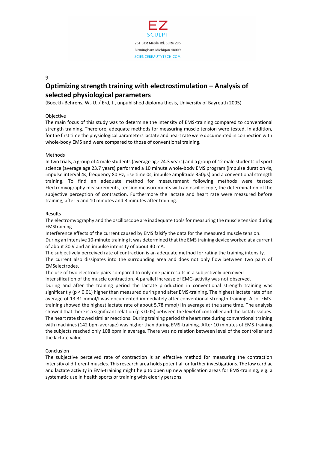

## **Optimizing strength training with electrostimulation – Analysis of selected physiological parameters**

(Boeckh-Behrens, W.-U. / Erd, J., unpublished diploma thesis, University of Bayreuth 2005)

#### Objective

The main focus of this study was to determine the intensity of EMS-training compared to conventional strength training. Therefore, adequate methods for measuring muscle tension were tested. In addition, for the first time the physiological parameters lactate and heart rate were documented in connection with whole-body EMS and were compared to those of conventional training.

#### Methods

In two trials, a group of 4 male students (average age 24.3 years) and a group of 12 male students of sport science (average age 23.7 years) performed a 10 minute whole-body EMS program (impulse duration 4s, impulse interval 4s, frequency 80 Hz, rise time 0s, impulse amplitude 350μs) and a conventional strength training. To find an adequate method for measurement following methods were tested: Electromyography measurements, tension measurements with an oscilloscope, the determination of the subjective perception of contraction. Furthermore the lactate and heart rate were measured before training, after 5 and 10 minutes and 3 minutes after training.

#### Results

The electromyography and the oscilloscope are inadequate tools for measuring the muscle tension during EMStraining.

Interference effects of the current caused by EMS falsify the data for the measured muscle tension. During an intensive 10-minute training it was determined that the EMS training device worked at a current of about 30 V and an impulse intensity of about 40 mA.

The subjectively perceived rate of contraction is an adequate method for rating the training intensity. The current also dissipates into the surrounding area and does not only flow between two pairs of EMSelectrodes.

The use of two electrode pairs compared to only one pair results in a subjectively perceived

intensification of the muscle contraction. A parallel increase of EMG-activity was not observed.

During and after the training period the lactate production in conventional strength training was significantly (p < 0.01) higher than measured during and after EMS-training. The highest lactate rate of an average of 13.31 mmol/l was documented immediately after conventional strength training. Also, EMStraining showed the highest lactate rate of about 5.78 mmol/l in average at the same time. The analysis showed that there is a significant relation (p < 0.05) between the level of controller and the lactate values. The heart rate showed similar reactions: During training period the heart rate during conventional training with machines (142 bpm average) was higher than during EMS-training. After 10 minutes of EMS-training the subjects reached only 108 bpm in average. There was no relation between level of the controller and the lactate value.

#### Conclusion

The subjective perceived rate of contraction is an effective method for measuring the contraction intensity of different muscles. This research area holds potential for further investigations. The low cardiac and lactate activity in EMS-training might help to open up new application areas for EMS-training, e.g. a systematic use in health sports or training with elderly persons.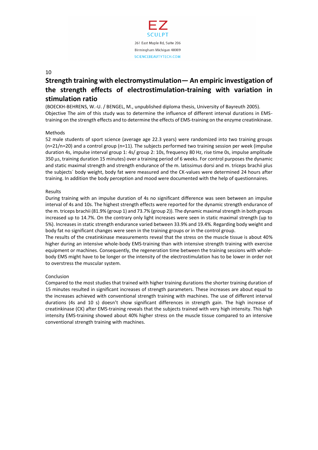

# **Strength training with electromystimulation— An empiric investigation of the strength effects of electrostimulation-training with variation in stimulation ratio**

(BOECKH-BEHRENS, W.-U. / BENGEL, M., unpublished diploma thesis, University of Bayreuth 2005). Objective The aim of this study was to determine the influence of different interval durations in EMStraining on the strength effects and to determine the effects of EMS-training on the enzyme creatinkinase.

#### Methods

52 male students of sport science (average age 22.3 years) were randomized into two training groups (n=21/n=20) and a control group (n=11). The subjects performed two training session per week (impulse duration 4s, impulse interval group 1: 4s/ group 2: 10s, frequency 80 Hz, rise time 0s, impulse amplitude 350 μs, training duration 15 minutes) over a training period of 6 weeks. For control purposes the dynamic and static maximal strength and strength endurance of the m. latissimus dorsi and m. triceps brachii plus the subjects´ body weight, body fat were measured and the CK-values were determined 24 hours after training. In addition the body perception and mood were documented with the help of questionnaires.

#### Results

During training with an impulse duration of 4s no significant difference was seen between an impulse interval of 4s and 10s. The highest strength effects were reported for the dynamic strength endurance of the m. triceps brachii (81.9% (group 1) and 73.7% (group 2)). The dynamic maximal strength in both groups increased up to 14.7%. On the contrary only light increases were seen in static maximal strength (up to 5%). Increases in static strength endurance varied between 33.9% and 19.4%. Regarding body weight and body fat no significant changes were seen in the training groups or in the control group.

The results of the creatinkinase measurements reveal that the stress on the muscle tissue is about 40% higher during an intensive whole-body EMS-training than with intensive strength training with exercise equipment or machines. Consequently, the regeneration time between the training sessions with wholebody EMS might have to be longer or the intensity of the electrostimulation has to be lower in order not to overstress the muscular system.

#### Conclusion

Compared to the most studies that trained with higher training durations the shorter training duration of 15 minutes resulted in significant increases of strength parameters. These increases are about equal to the increases achieved with conventional strength training with machines. The use of different interval durations (4s and 10 s) doesn't show significant differences in strength gain. The high increase of creatinkinase (CK) after EMS-training reveals that the subjects trained with very high intensity. This high intensity EMS-training showed about 40% higher stress on the muscle tissue compared to an intensive conventional strength training with machines.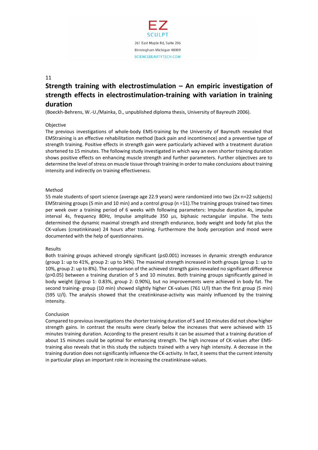

# **Strength training with electrostimulation – An empiric investigation of strength effects in electrostimulation-training with variation in training duration**

(Boeckh-Behrens, W.-U./Mainka, D., unpublished diploma thesis, University of Bayreuth 2006).

#### Objective

The previous investigations of whole-body EMS-training by the University of Bayreuth revealed that EMStraining is an effective rehabilitation method (back pain and incontinence) and a preventive type of strength training. Positive effects in strength gain were particularly achieved with a treatment duration shortened to 15 minutes. The following study investigated in which way an even shorter training duration shows positive effects on enhancing muscle strength and further parameters. Further objectives are to determine the level of stress on muscle tissue through training in order to make conclusions about training intensity and indirectly on training effectiveness.

#### Method

55 male students of sport science (average age 22.9 years) were randomized into two (2x n=22 subjects) EMStraining groups (5 min and 10 min) and a control group (n =11).The training groups trained two times per week over a training period of 6 weeks with following parameters: Impulse duration 4s, impulse interval 4s, frequency 80Hz, Impulse amplitude 350 μs, biphasic rectangular impulse. The tests determined the dynamic maximal strength and strength endurance, body weight and body fat plus the CK-values (creatinkinase) 24 hours after training. Furthermore the body perception and mood were documented with the help of questionnaires.

#### Results

Both training groups achieved strongly significant (p≤0.001) increases in dynamic strength endurance (group 1: up to 41%, group 2: up to 34%). The maximal strength increased in both groups (group 1: up to 10%, group 2: up to 8%). The comparison of the achieved strength gains revealed no significant difference (p>0.05) between a training duration of 5 and 10 minutes. Both training groups significantly gained in body weight ((group 1: 0.83%, group 2: 0.90%), but no improvements were achieved in body fat. The second training- group (10 min) showed slightly higher CK-values (761 U/l) than the first group (5 min) (595 U/l). The analysis showed that the creatinkinase-activity was mainly influenced by the training intensity.

#### Conclusion

Compared to previous investigations the shorter training duration of 5 and 10 minutes did not show higher strength gains. In contrast the results were clearly below the increases that were achieved with 15 minutes training duration. According to the present results it can be assumed that a training duration of about 15 minutes could be optimal for enhancing strength. The high increase of CK-values after EMStraining also reveals that in this study the subjects trained with a very high intensity. A decrease in the training duration does not significantly influence the CK-activity. In fact, it seems that the current intensity in particular plays an important role in increasing the creatinkinase-values.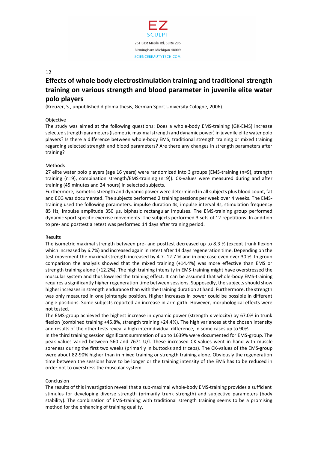

## **Effects of whole body electrostimulation training and traditional strength training on various strength and blood parameter in juvenile elite water polo players**

(Kreuzer, S., unpublished diploma thesis, German Sport University Cologne, 2006).

#### Objective

The study was aimed at the following questions: Does a whole-body EMS-training (GK-EMS) increase selected strength parameters (isometric maximal strength and dynamic power) in juvenile elite water polo players? Is there a difference between whole-body EMS, traditional strength training or mixed training regarding selected strength and blood parameters? Are there any changes in strength parameters after training?

#### Methods

27 elite water polo players (age 16 years) were randomized into 3 groups (EMS-training (n=9), strength training (n=9), combination strength/EMS-training (n=9)). CK-values were measured during and after training (45 minutes and 24 hours) in selected subjects.

Furthermore, isometric strength and dynamic power were determined in all subjects plus blood count, fat and ECG was documented. The subjects performed 2 training sessions per week over 4 weeks. The EMStraining used the following parameters: impulse duration 4s, impulse interval 4s, stimulation frequency 85 Hz, impulse amplitude 350 μs, biphasic rectangular impulses. The EMS-training group performed dynamic sport specific exercise movements. The subjects performed 3 sets of 12 repetitions. In addition to pre- and posttest a retest was performed 14 days after training period.

#### Results

The isometric maximal strength between pre- and posttest decreased up to 8.3 % (except trunk flexion which increased by 6.7%) and increased again in retest after 14 days regeneration time. Depending on the test movement the maximal strength increased by 4.7- 12.7 % and in one case even over 30 %. In group comparison the analysis showed that the mixed training (+14.4%) was more effective than EMS or strength training alone (+12.2%). The high training intensity in EMS-training might have overstressed the muscular system and thus lowered the training effect. It can be assumed that whole-body EMS-training requires a significantly higher regeneration time between sessions. Supposedly, the subjects should show higher increases in strength endurance than with the training duration at hand. Furthermore, the strength was only measured in one jointangle position. Higher increases in power could be possible in different angle positions. Some subjects reported an increase in arm girth. However, morphological effects were not tested.

The EMS-group achieved the highest increase in dynamic power (strength x velocity) by 67.0% in trunk flexion (combined training +45.8%, strength training +24.4%). The high variances at the chosen intensity and results of the other tests reveal a high interindividual difference, in some cases up to 90%.

In the third training session significant summation of up to 1639% were documented for EMS-group. The peak values varied between 560 and 7671 U/l. These increased CK-values went in hand with muscle soreness during the first two weeks (primarily in buttocks and triceps). The CK-values of the EMS-group were about 82-90% higher than in mixed training or strength training alone. Obviously the regeneration time between the sessions have to be longer or the training intensity of the EMS has to be reduced in order not to overstress the muscular system.

#### Conclusion

The results of this investigation reveal that a sub-maximal whole-body EMS-training provides a sufficient stimulus for developing diverse strength (primarily trunk strength) and subjective parameters (body stability). The combination of EMS-training with traditional strength training seems to be a promising method for the enhancing of training quality.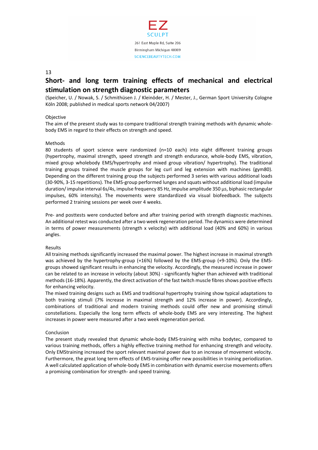

## **Short- and long term training effects of mechanical and electrical stimulation on strength diagnostic parameters**

(Speicher, U. / Nowak, S. / Schmithüsen J. / Kleinöder, H. / Mester, J., German Sport University Cologne Köln 2008; published in medical sports network 04/2007)

#### **Objective**

The aim of the present study was to compare traditional strength training methods with dynamic wholebody EMS in regard to their effects on strength and speed.

#### Methods

80 students of sport science were randomized (n=10 each) into eight different training groups (hypertrophy, maximal strength, speed strength and strength endurance, whole-body EMS, vibration, mixed group wholebody EMS/hypertrophy and mixed group vibration/ hypertrophy). The traditional training groups trained the muscle groups for leg curl and leg extension with machines (gym80). Depending on the different training group the subjects performed 3 series with various additional loads (30-90%, 3-15 repetitions). The EMS-group performed lunges and squats without additional load (impulse duration/ impulse interval 6s/4s, impulse frequency 85 Hz, impulse amplitude 350 μs, biphasic rectangular impulses, 60% intensity). The movements were standardized via visual biofeedback. The subjects performed 2 training sessions per week over 4 weeks.

Pre- and posttests were conducted before and after training period with strength diagnostic machines. An additional retest was conducted after a two week regeneration period. The dynamics were determined in terms of power measurements (strength x velocity) with additional load (40% and 60%) in various angles.

#### Results

All training methods significantly increased the maximal power. The highest increase in maximal strength was achieved by the hypertrophy-group (+16%) followed by the EMS-group (+9-10%). Only the EMSgroups showed significant results in enhancing the velocity. Accordingly, the measured increase in power can be related to an increase in velocity (about 30%) - significantly higher than achieved with traditional methods (16-18%). Apparently, the direct activation of the fast twitch muscle fibres shows positive effects for enhancing velocity.

The mixed training designs such as EMS and traditional hypertrophy training show typical adaptations to both training stimuli (7% increase in maximal strength and 12% increase in power). Accordingly, combinations of traditional and modern training methods could offer new and promising stimuli constellations. Especially the long term effects of whole-body EMS are very interesting. The highest increases in power were measured after a two week regeneration period.

#### Conclusion

The present study revealed that dynamic whole-body EMS-training with miha bodytec, compared to various training methods, offers a highly effective training method for enhancing strength and velocity. Only EMStraining increased the sport relevant maximal power due to an increase of movement velocity. Furthermore, the great long term effects of EMS-training offer new possibilities in training periodization. A well calculated application of whole-body EMS in combination with dynamic exercise movements offers a promising combination for strength- and speed training.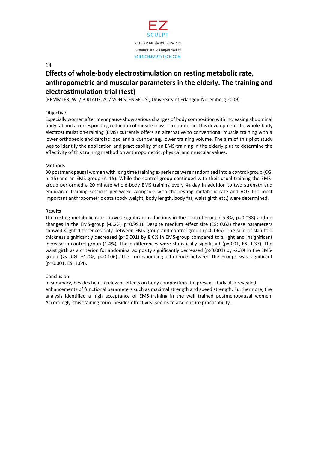

## **Effects of whole-body electrostimulation on resting metabolic rate, anthropometric and muscular parameters in the elderly. The training and electrostimulation trial (test)**

(KEMMLER, W. / BIRLAUF, A. / VON STENGEL, S., University of Erlangen-Nuremberg 2009).

#### Objective

Especially women after menopause show serious changes of body composition with increasing abdominal body fat and a corresponding reduction of muscle mass. To counteract this development the whole-body electrostimulation-training (EMS) currently offers an alternative to conventional muscle training with a lower orthopedic and cardiac load and a comparing lower training volume. The aim of this pilot study was to identify the application and practicability of an EMS-training in the elderly plus to determine the effectivity of this training method on anthropometric, physical and muscular values.

#### **Methods**

30 postmenopausal women with long time training experience were randomized into a control-group (CG: n=15) and an EMS-group (n=15). While the control-group continued with their usual training the EMSgroup performed a 20 minute whole-body EMS-training every 4th day in addition to two strength and endurance training sessions per week. Alongside with the resting metabolic rate and VO2 the most important anthropometric data (body weight, body length, body fat, waist girth etc.) were determined.

#### Results

The resting metabolic rate showed significant reductions in the control-group (-5.3%, p=0.038) and no changes in the EMS-group (-0.2%, p=0.991). Despite medium effect size (ES: 0.62) these parameters showed slight differences only between EMS-group and control-group (p=0.065). The sum of skin fold thickness significantly decreased (p=0.001) by 8.6% in EMS-group compared to a light and insignificant increase in control-group (1.4%). These differences were statistically significant (p=.001, ES: 1.37). The waist girth as a criterion for abdominal adiposity significantly decreased (p>0.001) by -2.3% in the EMSgroup (vs. CG: +1.0%, p=0.106). The corresponding difference between the groups was significant (p=0.001, ES: 1.64).

#### Conclusion

In summary, besides health relevant effects on body composition the present study also revealed enhancements of functional parameters such as maximal strength and speed strength. Furthermore, the analysis identified a high acceptance of EMS-training in the well trained postmenopausal women. Accordingly, this training form, besides effectivity, seems to also ensure practicability.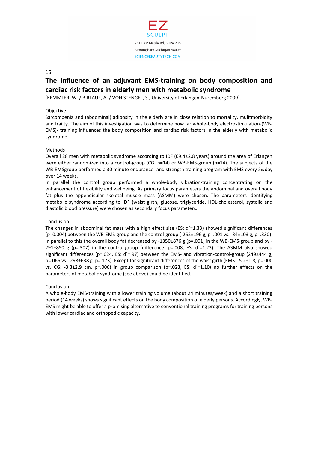

## **The influence of an adjuvant EMS-training on body composition and cardiac risk factors in elderly men with metabolic syndrome**

(KEMMLER, W. / BIRLAUF, A. / VON STENGEL, S., University of Erlangen-Nuremberg 2009).

#### Objective

Sarcompenia and (abdominal) adiposity in the elderly are in close relation to mortality, mulitmorbidity and frailty. The aim of this investigation was to determine how far whole-body electrostimulation-(WB-EMS)- training influences the body composition and cardiac risk factors in the elderly with metabolic syndrome.

#### **Methods**

Overall 28 men with metabolic syndrome according to IDF (69.4±2.8 years) around the area of Erlangen were either randomized into a control-group (CG: n=14) or WB-EMS-group (n=14). The subjects of the WB-EMSgroup performed a 30 minute endurance- and strength training program with EMS every 5th day over 14 weeks.

In parallel the control group performed a whole-body vibration-training concentrating on the enhancement of flexibility and wellbeing. As primary focus parameters the abdominal and overall body fat plus the appendicular skeletal muscle mass (ASMM) were chosen. The parameters identifying metabolic syndrome according to IDF (waist girth, glucose, triglyceride, HDL-cholesterol, systolic and diastolic blood pressure) were chosen as secondary focus parameters.

#### Conclusion

The changes in abdominal fat mass with a high effect size (ES:  $d'=1.33$ ) showed significant differences ( $p=0.004$ ) between the WB-EMS-group and the control-group (-252±196 g,  $p=.001$  vs. -34±103 g,  $p=.330$ ). In parallel to this the overall body fat decreased by -1350 $\pm$ 876 g (p=.001) in the WB-EMS-group and by -291 $\pm$ 850 g (p=.307) in the control-group (difference: p=.008, ES: d`=1.23). The ASMM also showed significant differences (p=.024, ES: d`=.97) between the EMS- and vibration-control-group (249±444 g, p=.066 vs. -298±638 g, p=.173). Except for significant differences of the waist girth (EMS: -5.2±1.8, p=.000 vs. CG: -3.3±2.9 cm, p=.006) in group comparison (p=.023, ES: d`=1.10) no further effects on the parameters of metabolic syndrome (see above) could be identified.

#### Conclusion

A whole-body EMS-training with a lower training volume (about 24 minutes/week) and a short training period (14 weeks) shows significant effects on the body composition of elderly persons. Accordingly, WB-EMS might be able to offer a promising alternative to conventional training programs for training persons with lower cardiac and orthopedic capacity.